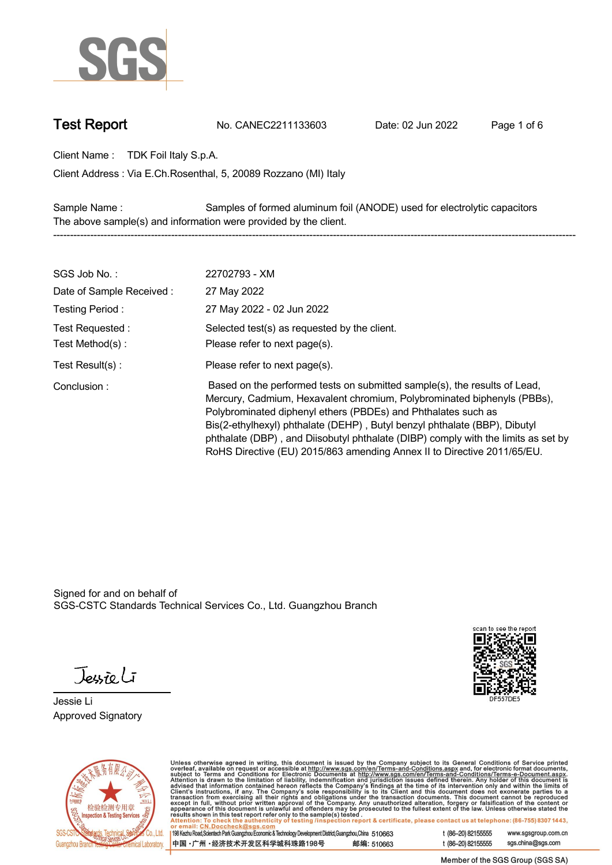

**Test Report. No. CANEC2211133603 . Date: 02 Jun 2022. Page 1 of 6.**

**Client Name : TDK Foil Italy S.p.A. .**

**Via E.Ch.Rosenthal, 5, 20089 Rozzano (MI) Italy . Client Address :**

**Sample Name : Samples of formed aluminum foil (ANODE) used for electrolytic capacitors . The above sample(s) and information were provided by the client. -----------------------------------------------------------------------------------------------------------------------------------------------------------**

| SGS Job No.:             | 22702793 - XM                                                                                                                                                                                                                                                                                                                                                                                                                                                      |
|--------------------------|--------------------------------------------------------------------------------------------------------------------------------------------------------------------------------------------------------------------------------------------------------------------------------------------------------------------------------------------------------------------------------------------------------------------------------------------------------------------|
| Date of Sample Received: | 27 May 2022                                                                                                                                                                                                                                                                                                                                                                                                                                                        |
| Testing Period:          | 27 May 2022 - 02 Jun 2022                                                                                                                                                                                                                                                                                                                                                                                                                                          |
| Test Requested :         | Selected test(s) as requested by the client.                                                                                                                                                                                                                                                                                                                                                                                                                       |
| Test Method(s):          | Please refer to next page(s).                                                                                                                                                                                                                                                                                                                                                                                                                                      |
| Test $Result(s)$ :       | Please refer to next page(s).                                                                                                                                                                                                                                                                                                                                                                                                                                      |
| Conclusion:              | Based on the performed tests on submitted sample(s), the results of Lead,<br>Mercury, Cadmium, Hexavalent chromium, Polybrominated biphenyls (PBBs),<br>Polybrominated diphenyl ethers (PBDEs) and Phthalates such as<br>Bis(2-ethylhexyl) phthalate (DEHP), Butyl benzyl phthalate (BBP), Dibutyl<br>phthalate (DBP), and Diisobutyl phthalate (DIBP) comply with the limits as set by<br>RoHS Directive (EU) 2015/863 amending Annex II to Directive 2011/65/EU. |

Signed for and on behalf of SGS-CSTC Standards Technical Services Co., Ltd. Guangzhou Branch.

Jessieli

**Jessie Li. Approved Signatory .**





Unless otherwise agreed in writing, this document is issued by the Company subject to its General Conditions of Service printed<br>overleaf, available on request or accessible at http://www.sgs.com/en/Terms-and-Conditions.as

| 198 Kezhu Road,Scientech Park Guangzhou Economic & Technology Development District,Guangzhou,China 510663 |            |
|-----------------------------------------------------------------------------------------------------------|------------|
| 中国 •广州 •经济技术开发区科学城科珠路198号 ;                                                                               | 邮编: 510663 |

t (86-20) 82155555 www.sgsgroup.com.cn sgs.china@sgs.com t (86-20) 82155555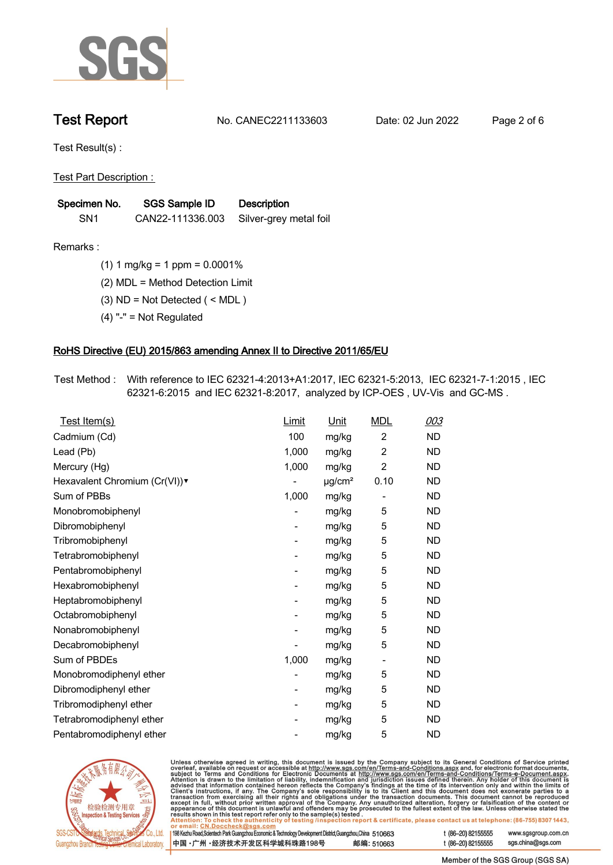

**Test Report. No. CANEC2211133603 . Date: 02 Jun 2022. Page 2 of 6.**

**Test Result(s) :.**

**Test Part Description : .**

| Specimen No.    | SGS Sample ID    | <b>Description</b>     |
|-----------------|------------------|------------------------|
| SN <sub>1</sub> | CAN22-111336.003 | Silver-grey metal foil |

- **Remarks :.(1) 1 mg/kg = 1 ppm = 0.0001% .**
	- **(2) MDL = Method Detection Limit .**
	- **(3) ND = Not Detected ( < MDL ) .**
	- **(4) "-" = Not Regulated .**

## **RoHS Directive (EU) 2015/863 amending Annex II to Directive 2011/65/EU.**

**Test Method :. With reference to IEC 62321-4:2013+A1:2017, IEC 62321-5:2013, IEC 62321-7-1:2015 , IEC 62321-6:2015 and IEC 62321-8:2017, analyzed by ICP-OES , UV-Vis and GC-MS . .**

| Cadmium (Cd)<br>100<br>$\overline{2}$<br><b>ND</b><br>mg/kg<br>$\overline{2}$<br>Lead (Pb)<br><b>ND</b><br>1,000<br>mg/kg<br>1,000<br>$\overline{2}$<br><b>ND</b><br>Mercury (Hg)<br>mg/kg<br><b>ND</b><br>Hexavalent Chromium (Cr(VI))v<br>$\mu$ g/cm <sup>2</sup><br>0.10<br>Sum of PBBs<br>1,000<br>mg/kg<br><b>ND</b><br>$\overline{a}$<br>5<br><b>ND</b><br>Monobromobiphenyl<br>mg/kg<br>Dibromobiphenyl<br>5<br><b>ND</b><br>mg/kg<br>- |  |
|------------------------------------------------------------------------------------------------------------------------------------------------------------------------------------------------------------------------------------------------------------------------------------------------------------------------------------------------------------------------------------------------------------------------------------------------|--|
|                                                                                                                                                                                                                                                                                                                                                                                                                                                |  |
|                                                                                                                                                                                                                                                                                                                                                                                                                                                |  |
|                                                                                                                                                                                                                                                                                                                                                                                                                                                |  |
|                                                                                                                                                                                                                                                                                                                                                                                                                                                |  |
|                                                                                                                                                                                                                                                                                                                                                                                                                                                |  |
|                                                                                                                                                                                                                                                                                                                                                                                                                                                |  |
|                                                                                                                                                                                                                                                                                                                                                                                                                                                |  |
| 5<br>Tribromobiphenyl<br><b>ND</b><br>mg/kg<br>-                                                                                                                                                                                                                                                                                                                                                                                               |  |
| 5<br><b>ND</b><br>Tetrabromobiphenyl<br>mg/kg                                                                                                                                                                                                                                                                                                                                                                                                  |  |
| 5<br>Pentabromobiphenyl<br><b>ND</b><br>mg/kg<br>-                                                                                                                                                                                                                                                                                                                                                                                             |  |
| 5<br><b>ND</b><br>Hexabromobiphenyl<br>mg/kg                                                                                                                                                                                                                                                                                                                                                                                                   |  |
| 5<br><b>ND</b><br>Heptabromobiphenyl<br>mg/kg                                                                                                                                                                                                                                                                                                                                                                                                  |  |
| 5<br>Octabromobiphenyl<br><b>ND</b><br>mg/kg<br>-                                                                                                                                                                                                                                                                                                                                                                                              |  |
| 5<br>Nonabromobiphenyl<br><b>ND</b><br>mg/kg                                                                                                                                                                                                                                                                                                                                                                                                   |  |
| 5<br><b>ND</b><br>Decabromobiphenyl<br>mg/kg                                                                                                                                                                                                                                                                                                                                                                                                   |  |
| Sum of PBDEs<br>1,000<br><b>ND</b><br>mg/kg<br>$\qquad \qquad \blacksquare$                                                                                                                                                                                                                                                                                                                                                                    |  |
| 5<br>Monobromodiphenyl ether<br><b>ND</b><br>mg/kg                                                                                                                                                                                                                                                                                                                                                                                             |  |
| Dibromodiphenyl ether<br>5<br><b>ND</b><br>mg/kg                                                                                                                                                                                                                                                                                                                                                                                               |  |
| 5<br><b>ND</b><br>Tribromodiphenyl ether<br>mg/kg<br>-                                                                                                                                                                                                                                                                                                                                                                                         |  |
| 5<br><b>ND</b><br>Tetrabromodiphenyl ether<br>mg/kg                                                                                                                                                                                                                                                                                                                                                                                            |  |
| 5<br>Pentabromodiphenyl ether<br><b>ND</b><br>mg/kg                                                                                                                                                                                                                                                                                                                                                                                            |  |



Unless otherwise agreed in writing, this document is issued by the Company subject to its General Conditions of Service printed overleaf, available on request or accessible at http://www.sgs.com/en/Terms-and-Conditions.as

| or email: CN.Doccheck@sgs.com                                                                                |            |                    |                     |
|--------------------------------------------------------------------------------------------------------------|------------|--------------------|---------------------|
| 198 Kezhu Road, Scientech Park Guangzhou Economic & Technology Development District, Guangzhou, China 510663 |            | t (86-20) 82155555 | www.sgsgroup.com.cl |
| ┃中国 •广州 •经济技术开发区科学城科珠路198号 ↓                                                                                 | 邮编: 510663 | t (86-20) 82155555 | sgs.china@sgs.com   |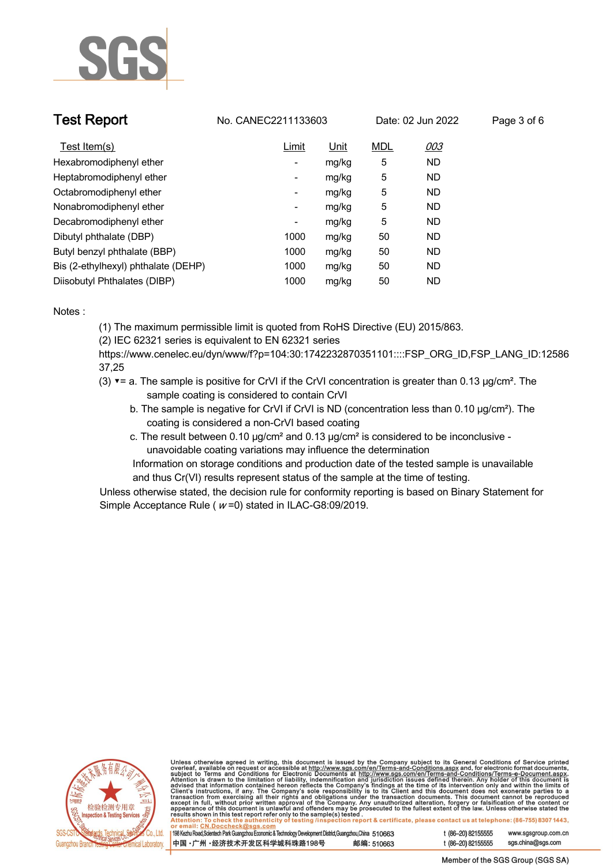

| <b>Test Report</b>                  | No. CANEC2211133603      |       |            | Date: 02 Jun 2022 | Page 3 of 6 |  |
|-------------------------------------|--------------------------|-------|------------|-------------------|-------------|--|
| Test Item(s)                        | Limit                    | Unit  | <b>MDL</b> | 003               |             |  |
| Hexabromodiphenyl ether             | $\overline{\phantom{a}}$ | mg/kg | 5          | <b>ND</b>         |             |  |
| Heptabromodiphenyl ether            | -                        | mg/kg | 5          | <b>ND</b>         |             |  |
| Octabromodiphenyl ether             | -                        | mg/kg | 5          | <b>ND</b>         |             |  |
| Nonabromodiphenyl ether             | Ξ.                       | mg/kg | 5          | <b>ND</b>         |             |  |
| Decabromodiphenyl ether             | -                        | mg/kg | 5          | <b>ND</b>         |             |  |
| Dibutyl phthalate (DBP)             | 1000                     | mg/kg | 50         | <b>ND</b>         |             |  |
| Butyl benzyl phthalate (BBP)        | 1000                     | mg/kg | 50         | <b>ND</b>         |             |  |
| Bis (2-ethylhexyl) phthalate (DEHP) | 1000                     | mg/kg | 50         | <b>ND</b>         |             |  |
| Diisobutyl Phthalates (DIBP)        | 1000                     | mg/kg | 50         | ND                |             |  |

### **Notes :.**

**(1) The maximum permissible limit is quoted from RoHS Directive (EU) 2015/863.**

**(2) IEC 62321 series is equivalent to EN 62321 series**

**https://www.cenelec.eu/dyn/www/f?p=104:30:1742232870351101::::FSP\_ORG\_ID,FSP\_LANG\_ID:12586 37,25**

- **(3) ▼= a. The sample is positive for CrVI if the CrVI concentration is greater than 0.13 μg/cm². The sample coating is considered to contain CrVI**
	- **b. The sample is negative for CrVI if CrVI is ND (concentration less than 0.10 μg/cm²). The coating is considered a non-CrVI based coating**
	- **c. The result between 0.10 μg/cm² and 0.13 μg/cm² is considered to be inconclusive unavoidable coating variations may influence the determination**

 **Information on storage conditions and production date of the tested sample is unavailable and thus Cr(VI) results represent status of the sample at the time of testing. .**

**Unless otherwise stated, the decision rule for conformity reporting is based on Binary Statement for Simple Acceptance Rule ( <sup>w</sup> =0) stated in ILAC-G8:09/2019. .**



Unless otherwise agreed in writing, this document is issued by the Company subject to its General Conditions of Service printed<br>overleaf, available on request or accessible at http://www.sgs.com/en/Terms-and-Conditions.as

| 198 Kezhu Road,Scientech Park Guangzhou Economic & Technology Development District,Guangzhou,China 510663 |            |
|-----------------------------------------------------------------------------------------------------------|------------|
| 中国 •广州 •经济技术开发区科学城科珠路198号                                                                                 | 邮编: 510663 |

t (86-20) 82155555 sas.china@sas.com

www.sgsgroup.com.cn

t (86-20) 82155555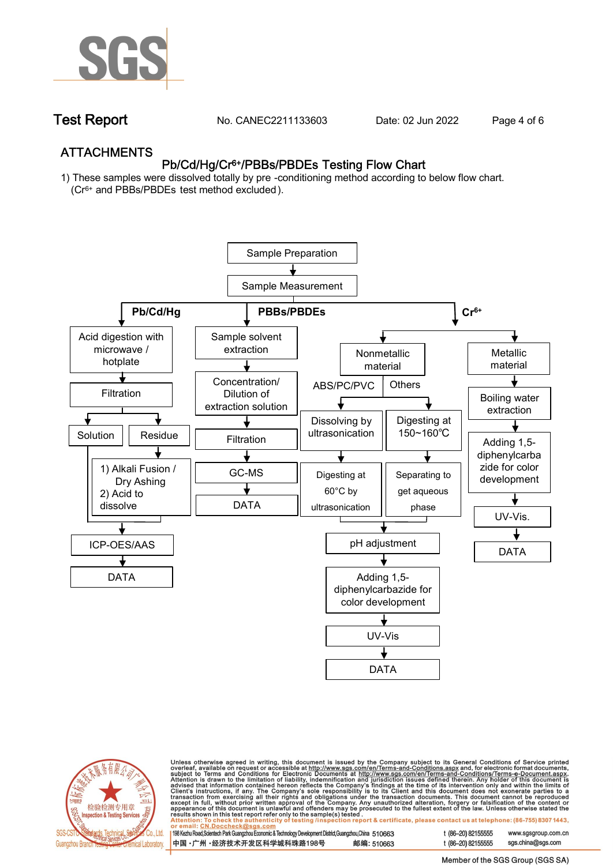

**Test Report. No. CANEC2211133603 . Date: 02 Jun 2022. Page 4 of 6.**

## **ATTACHMENTS Pb/Cd/Hg/Cr6+/PBBs/PBDEs Testing Flow Chart**

**1) These samples were dissolved totally by pre -conditioning method according to below flow chart. (Cr6+ and PBBs/PBDEs test method excluded ).**





Unless otherwise agreed in writing, this document is issued by the Company subject to its General Conditions of Service printed<br>overleaf, available on request or accessible at <u>http://www.sgs.com/en/Terms-and-Conditions.a</u>

| 198 Kezhu Road,Scientech Park Guangzhou Economic & Technology Development District,Guangzhou,China   510663 |            |
|-------------------------------------------------------------------------------------------------------------|------------|
| 中国 •广州 •经济技术开发区科学城科珠路198号 ;                                                                                 | 邮编: 510663 |

t (86-20) 82155555 www.sgsgroup.com.cn t (86-20) 82155555 sas.china@sas.com

Member of the SGS Group (SGS SA)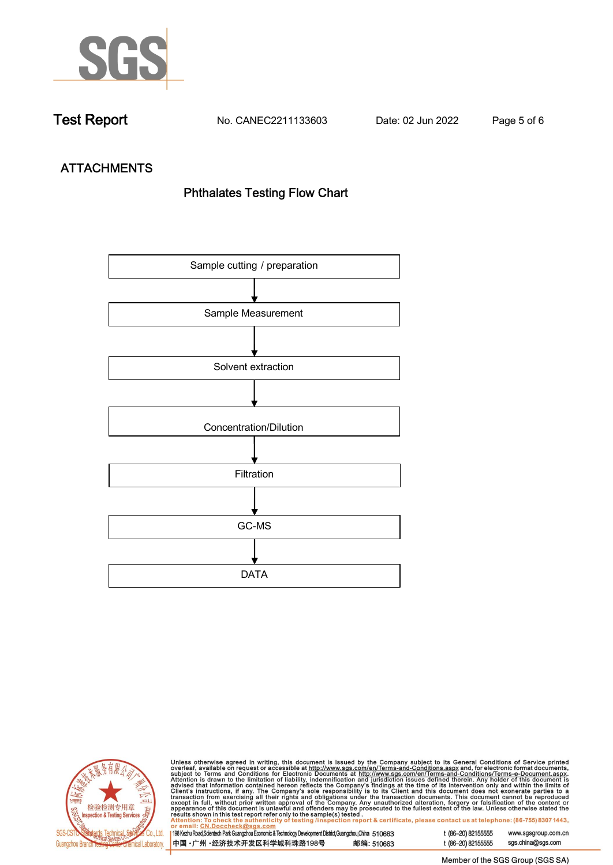

**Test Report. No. CANEC2211133603 . Date: 02 Jun 2022. Page 5 of 6.**

# **ATTACHMENTS Phthalates Testing Flow Chart**





Unless otherwise agreed in writing, this document is issued by the Company subject to its General Conditions of Service printed<br>overleaf, available on request or accessible at http://www.sgs.com/en/Terms-and-Conditions.as

| 198 Kezhu Road,Scientech Park Guangzhou Economic & Technology Development District,Guangzhou,China 510663 |            |  |
|-----------------------------------------------------------------------------------------------------------|------------|--|
| 中国 •广州 •经济技术开发区科学城科珠路198号                                                                                 | 邮编: 510663 |  |

t (86-20) 82155555 sgs.china@sgs.com

www.sgsgroup.com.cn

t (86-20) 82155555